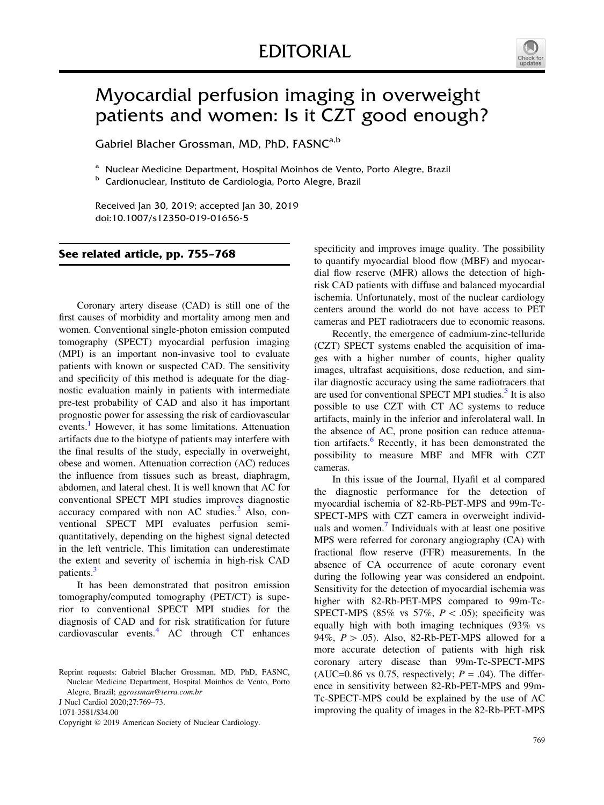

## Myocardial perfusion imaging in overweight patients and women: Is it CZT good enough?

Gabriel Blacher Grossman, MD, PhD, FASNC<sup>a,b</sup>

<sup>a</sup> Nuclear Medicine Department, Hospital Moinhos de Vento, Porto Alegre, Brazil

<sup>b</sup> Cardionuclear, Instituto de Cardiologia, Porto Alegre, Brazil

Received Jan 30, 2019; accepted Jan 30, 2019 doi:10.1007/s12350-019-01656-5

## See related article, pp. 755–768

Coronary artery disease (CAD) is still one of the first causes of morbidity and mortality among men and women. Conventional single-photon emission computed tomography (SPECT) myocardial perfusion imaging (MPI) is an important non-invasive tool to evaluate patients with known or suspected CAD. The sensitivity and specificity of this method is adequate for the diagnostic evaluation mainly in patients with intermediate pre-test probability of CAD and also it has important prognostic power for assessing the risk of cardiovascular events.<sup>[1](#page-3-0)</sup> However, it has some limitations. Attenuation artifacts due to the biotype of patients may interfere with the final results of the study, especially in overweight, obese and women. Attenuation correction (AC) reduces the influence from tissues such as breast, diaphragm, abdomen, and lateral chest. It is well known that AC for conventional SPECT MPI studies improves diagnostic accuracy compared with non AC studies. $<sup>2</sup>$  $<sup>2</sup>$  $<sup>2</sup>$  Also, con-</sup> ventional SPECT MPI evaluates perfusion semiquantitatively, depending on the highest signal detected in the left ventricle. This limitation can underestimate the extent and severity of ischemia in high-risk CAD patients.<sup>[3](#page-3-0)</sup>

It has been demonstrated that positron emission tomography/computed tomography (PET/CT) is superior to conventional SPECT MPI studies for the diagnosis of CAD and for risk stratification for future cardiovascular events.<sup>[4](#page-3-0)</sup> AC through CT enhances

J Nucl Cardiol 2020;27:769–73.

1071-3581/\$34.00

specificity and improves image quality. The possibility to quantify myocardial blood flow (MBF) and myocardial flow reserve (MFR) allows the detection of highrisk CAD patients with diffuse and balanced myocardial ischemia. Unfortunately, most of the nuclear cardiology centers around the world do not have access to PET cameras and PET radiotracers due to economic reasons.

Recently, the emergence of cadmium-zinc-telluride (CZT) SPECT systems enabled the acquisition of images with a higher number of counts, higher quality images, ultrafast acquisitions, dose reduction, and similar diagnostic accuracy using the same radiotracers that are used for conventional SPECT MPI studies.<sup>[5](#page-3-0)</sup> It is also possible to use CZT with CT AC systems to reduce artifacts, mainly in the inferior and inferolateral wall. In the absence of AC, prone position can reduce attenua-tion artifacts.<sup>[6](#page-4-0)</sup> Recently, it has been demonstrated the possibility to measure MBF and MFR with CZT cameras.

In this issue of the Journal, Hyafil et al compared the diagnostic performance for the detection of myocardial ischemia of 82-Rb-PET-MPS and 99m-Tc-SPECT-MPS with CZT camera in overweight individ-uals and women.<sup>[7](#page-4-0)</sup> Individuals with at least one positive MPS were referred for coronary angiography (CA) with fractional flow reserve (FFR) measurements. In the absence of CA occurrence of acute coronary event during the following year was considered an endpoint. Sensitivity for the detection of myocardial ischemia was higher with 82-Rb-PET-MPS compared to 99m-Tc-SPECT-MPS (85% vs 57%,  $P \lt .05$ ); specificity was equally high with both imaging techniques (93% vs 94%,  $P > .05$ ). Also, 82-Rb-PET-MPS allowed for a more accurate detection of patients with high risk coronary artery disease than 99m-Tc-SPECT-MPS (AUC=0.86 vs 0.75, respectively;  $P = .04$ ). The difference in sensitivity between 82-Rb-PET-MPS and 99m-Tc-SPECT-MPS could be explained by the use of AC improving the quality of images in the 82-Rb-PET-MPS

Reprint requests: Gabriel Blacher Grossman, MD, PhD, FASNC, Nuclear Medicine Department, Hospital Moinhos de Vento, Porto Alegre, Brazil; ggrossman@terra.com.br

Copyright © 2019 American Society of Nuclear Cardiology.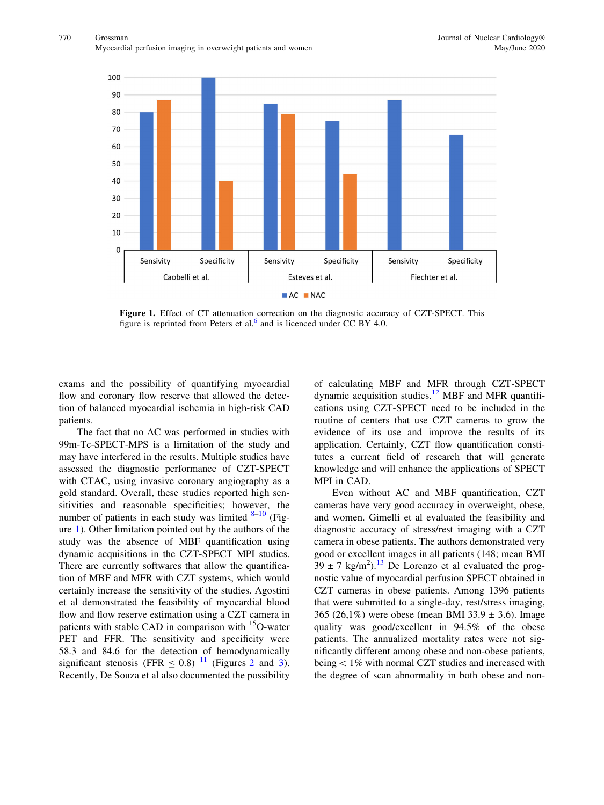

Figure 1. Effect of CT attenuation correction on the diagnostic accuracy of CZT-SPECT. This figure is reprinted from Peters et al. $^{\circ}$  and is licenced under CC BY 4.0.

exams and the possibility of quantifying myocardial flow and coronary flow reserve that allowed the detection of balanced myocardial ischemia in high-risk CAD patients.

The fact that no AC was performed in studies with 99m-Tc-SPECT-MPS is a limitation of the study and may have interfered in the results. Multiple studies have assessed the diagnostic performance of CZT-SPECT with CTAC, using invasive coronary angiography as a gold standard. Overall, these studies reported high sensitivities and reasonable specificities; however, the number of patients in each study was limited  $8-10$  (Figure 1). Other limitation pointed out by the authors of the study was the absence of MBF quantification using dynamic acquisitions in the CZT-SPECT MPI studies. There are currently softwares that allow the quantification of MBF and MFR with CZT systems, which would certainly increase the sensitivity of the studies. Agostini et al demonstrated the feasibility of myocardial blood flow and flow reserve estimation using a CZT camera in patients with stable CAD in comparison with <sup>15</sup>O-water PET and FFR. The sensitivity and specificity were 58.3 and 84.6 for the detection of hemodynamically significant stenosis (FFR  $\leq 0.8$ ) <sup>[11](#page-4-0)</sup> (Figures [2](#page-2-0) and [3](#page-3-0)). Recently, De Souza et al also documented the possibility

of calculating MBF and MFR through CZT-SPECT dynamic acquisition studies.<sup>[12](#page-4-0)</sup> MBF and MFR quantifications using CZT-SPECT need to be included in the routine of centers that use CZT cameras to grow the evidence of its use and improve the results of its application. Certainly, CZT flow quantification constitutes a current field of research that will generate knowledge and will enhance the applications of SPECT MPI in CAD.

Even without AC and MBF quantification, CZT cameras have very good accuracy in overweight, obese, and women. Gimelli et al evaluated the feasibility and diagnostic accuracy of stress/rest imaging with a CZT camera in obese patients. The authors demonstrated very good or excellent images in all patients (148; mean BMI  $39 \pm 7$  kg/m<sup>2</sup>).<sup>[13](#page-4-0)</sup> De Lorenzo et al evaluated the prognostic value of myocardial perfusion SPECT obtained in CZT cameras in obese patients. Among 1396 patients that were submitted to a single-day, rest/stress imaging, 365 (26,1%) were obese (mean BMI 33.9  $\pm$  3.6). Image quality was good/excellent in 94.5% of the obese patients. The annualized mortality rates were not significantly different among obese and non-obese patients, being  $< 1\%$  with normal CZT studies and increased with the degree of scan abnormality in both obese and non-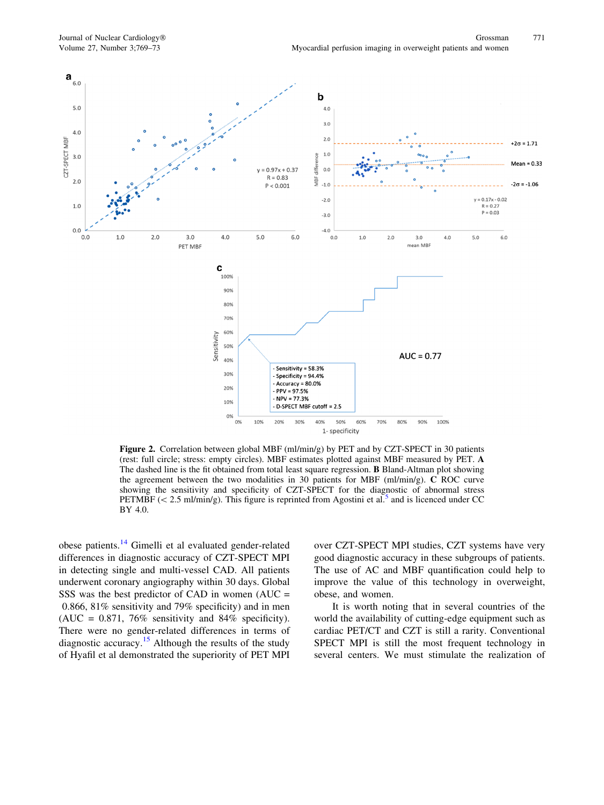<span id="page-2-0"></span>

Figure 2. Correlation between global MBF (ml/min/g) by PET and by CZT-SPECT in 30 patients (rest: full circle; stress: empty circles). MBF estimates plotted against MBF measured by PET. A The dashed line is the fit obtained from total least square regression. B Bland-Altman plot showing the agreement between the two modalities in 30 patients for MBF (ml/min/g). C ROC curve showing the sensitivity and specificity of CZT-SPECT for the diagnostic of abnormal stress PETMBF ( $\lt$  2.[5](#page-3-0) ml/min/g). This figure is reprinted from Agostini et al.<sup>5</sup> and is licenced under CC BY 4.0.

obese patients.[14](#page-4-0) Gimelli et al evaluated gender-related differences in diagnostic accuracy of CZT-SPECT MPI in detecting single and multi-vessel CAD. All patients underwent coronary angiography within 30 days. Global SSS was the best predictor of CAD in women  $(AUC =$ 0.866, 81% sensitivity and 79% specificity) and in men (AUC =  $0.871$ , 76% sensitivity and 84% specificity). There were no gender-related differences in terms of diagnostic accuracy.<sup>[15](#page-4-0)</sup> Although the results of the study of Hyafil et al demonstrated the superiority of PET MPI

over CZT-SPECT MPI studies, CZT systems have very good diagnostic accuracy in these subgroups of patients. The use of AC and MBF quantification could help to improve the value of this technology in overweight, obese, and women.

It is worth noting that in several countries of the world the availability of cutting-edge equipment such as cardiac PET/CT and CZT is still a rarity. Conventional SPECT MPI is still the most frequent technology in several centers. We must stimulate the realization of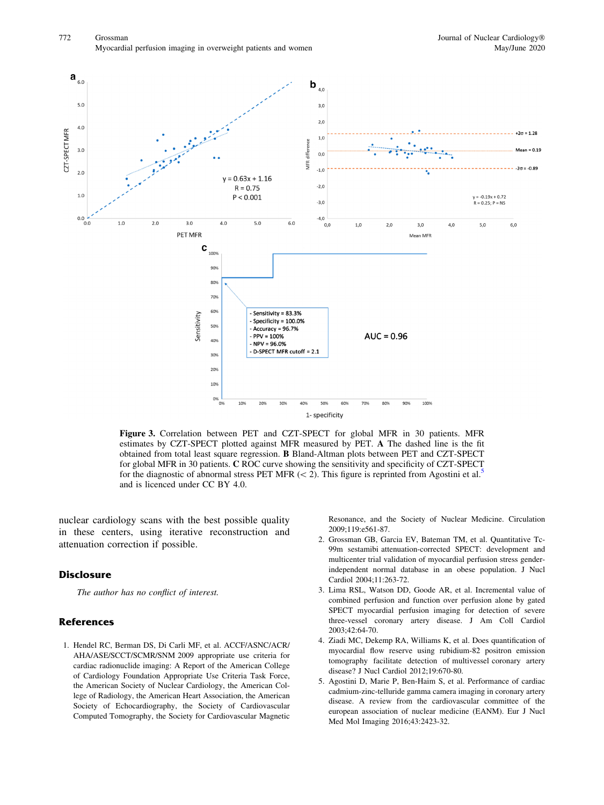<span id="page-3-0"></span>

Figure 3. Correlation between PET and CZT-SPECT for global MFR in 30 patients. MFR estimates by CZT-SPECT plotted against MFR measured by PET. A The dashed line is the fit obtained from total least square regression. B Bland-Altman plots between PET and CZT-SPECT for global MFR in 30 patients. C ROC curve showing the sensitivity and specificity of CZT-SPECT for the diagnostic of abnormal stress PET MFR ( $\lt$  2). This figure is reprinted from Agostini et al.<sup>5</sup> and is licenced under CC BY 4.0.

nuclear cardiology scans with the best possible quality in these centers, using iterative reconstruction and attenuation correction if possible.

## **Disclosure**

The author has no conflict of interest.

## References

1. Hendel RC, Berman DS, Di Carli MF, et al. ACCF/ASNC/ACR/ AHA/ASE/SCCT/SCMR/SNM 2009 appropriate use criteria for cardiac radionuclide imaging: A Report of the American College of Cardiology Foundation Appropriate Use Criteria Task Force, the American Society of Nuclear Cardiology, the American College of Radiology, the American Heart Association, the American Society of Echocardiography, the Society of Cardiovascular Computed Tomography, the Society for Cardiovascular Magnetic Resonance, and the Society of Nuclear Medicine. Circulation 2009;119:e561-87.

- 2. Grossman GB, Garcia EV, Bateman TM, et al. Quantitative Tc-99m sestamibi attenuation-corrected SPECT: development and multicenter trial validation of myocardial perfusion stress genderindependent normal database in an obese population. J Nucl Cardiol 2004;11:263-72.
- 3. Lima RSL, Watson DD, Goode AR, et al. Incremental value of combined perfusion and function over perfusion alone by gated SPECT myocardial perfusion imaging for detection of severe three-vessel coronary artery disease. J Am Coll Cardiol 2003;42:64-70.
- 4. Ziadi MC, Dekemp RA, Williams K, et al. Does quantification of myocardial flow reserve using rubidium-82 positron emission tomography facilitate detection of multivessel coronary artery disease? J Nucl Cardiol 2012;19:670-80.
- 5. Agostini D, Marie P, Ben-Haim S, et al. Performance of cardiac cadmium-zinc-telluride gamma camera imaging in coronary artery disease. A review from the cardiovascular committee of the european association of nuclear medicine (EANM). Eur J Nucl Med Mol Imaging 2016;43:2423-32.